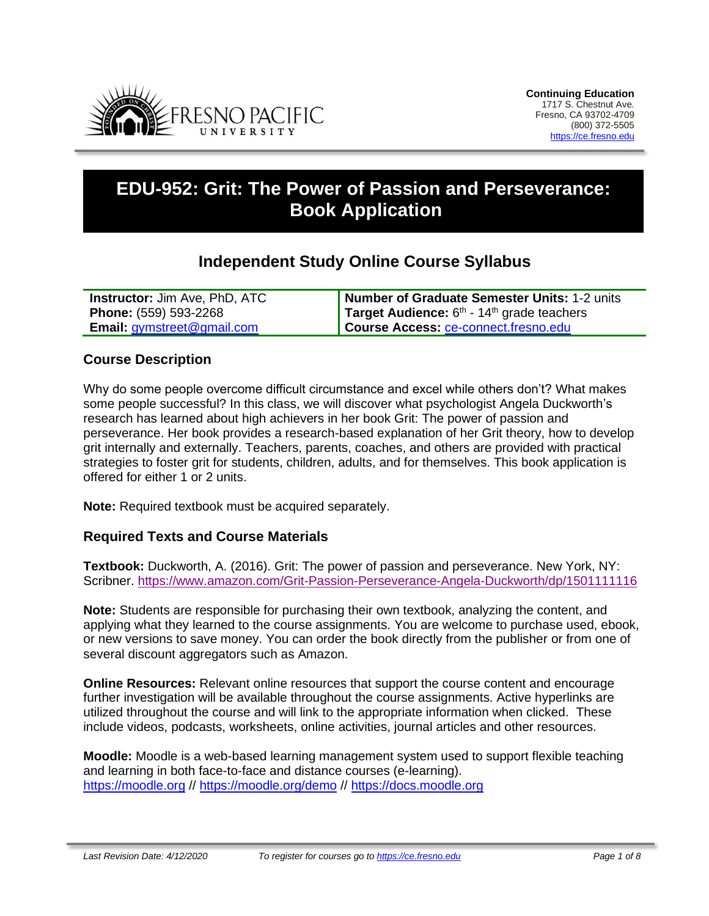

# **EDU-952: Grit: The Power of Passion and Perseverance: Book Application**

## **Independent Study Online Course Syllabus**

| <b>Instructor: Jim Ave, PhD, ATC</b>                   | Number of Graduate Semester Units: 1-2 units             |
|--------------------------------------------------------|----------------------------------------------------------|
| <b>Phone:</b> (559) 593-2268                           | Target Audience: $6th$ - 14 <sup>th</sup> grade teachers |
| <b>Email:</b> $q$ <i>ymstreet</i> $@$ <i>gmail.com</i> | Course Access: ce-connect.fresno.edu                     |

### **Course Description**

Why do some people overcome difficult circumstance and excel while others don't? What makes some people successful? In this class, we will discover what psychologist Angela Duckworth's research has learned about high achievers in her book Grit: The power of passion and perseverance. Her book provides a research-based explanation of her Grit theory, how to develop grit internally and externally. Teachers, parents, coaches, and others are provided with practical strategies to foster grit for students, children, adults, and for themselves. This book application is offered for either 1 or 2 units.

**Note:** Required textbook must be acquired separately.

#### **Required Texts and Course Materials**

**Textbook:** Duckworth, A. (2016). Grit: The power of passion and perseverance. New York, NY: Scribner. [https://www.amazon.com/Grit-Passion-Perseverance-Angela-Duckworth/dp/1501111116](https://www.amazon.com/Grit-Passion-Perseverance-Angela-Duckworth/dp/1501111116/ref=sr_1_1?crid=2QWFIOY096DWR&keywords=grit+angela+duckworth&qid=1565472390&s=books&sprefix=grit%2Cstripbooks%2C200&sr=1-1)

**Note:** Students are responsible for purchasing their own textbook, analyzing the content, and applying what they learned to the course assignments. You are welcome to purchase used, ebook, or new versions to save money. You can order the book directly from the publisher or from one of several discount aggregators such as Amazon.

**Online Resources:** Relevant online resources that support the course content and encourage further investigation will be available throughout the course assignments. Active hyperlinks are utilized throughout the course and will link to the appropriate information when clicked. These include videos, podcasts, worksheets, online activities, journal articles and other resources.

**Moodle:** Moodle is a web-based learning management system used to support flexible teaching and learning in both face-to-face and distance courses (e-learning). [https://moodle.org](https://moodle.org/) // <https://moodle.org/demo> // [https://docs.moodle.org](https://docs.moodle.org/)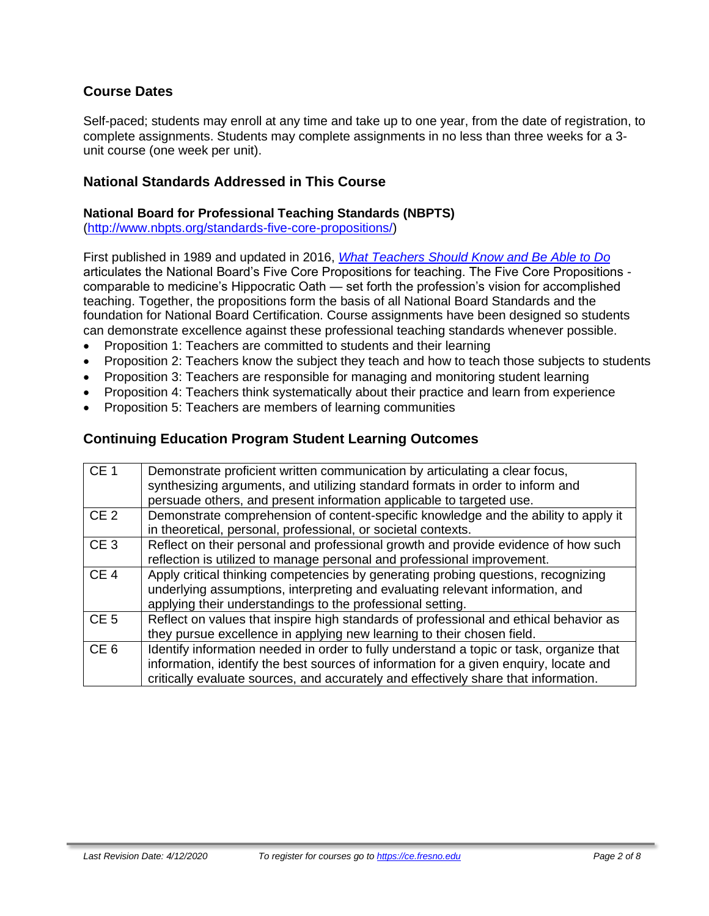## **Course Dates**

Self-paced; students may enroll at any time and take up to one year, from the date of registration, to complete assignments. Students may complete assignments in no less than three weeks for a 3 unit course (one week per unit).

### **National Standards Addressed in This Course**

#### **National Board for Professional Teaching Standards (NBPTS)**

[\(http://www.nbpts.org/standards-five-core-propositions/\)](http://www.nbpts.org/standards-five-core-propositions/)

First published in 1989 and updated in 2016, *[What Teachers Should Know and Be Able to Do](http://www.accomplishedteacher.org/)* articulates the National Board's Five Core Propositions for teaching. The Five Core Propositions comparable to medicine's Hippocratic Oath — set forth the profession's vision for accomplished teaching. Together, the propositions form the basis of all National Board Standards and the foundation for National Board Certification. Course assignments have been designed so students can demonstrate excellence against these professional teaching standards whenever possible.

- Proposition 1: Teachers are committed to students and their learning
- Proposition 2: Teachers know the subject they teach and how to teach those subjects to students
- Proposition 3: Teachers are responsible for managing and monitoring student learning
- Proposition 4: Teachers think systematically about their practice and learn from experience
- Proposition 5: Teachers are members of learning communities

### **Continuing Education Program Student Learning Outcomes**

| CE <sub>1</sub> | Demonstrate proficient written communication by articulating a clear focus,<br>synthesizing arguments, and utilizing standard formats in order to inform and<br>persuade others, and present information applicable to targeted use.                                    |
|-----------------|-------------------------------------------------------------------------------------------------------------------------------------------------------------------------------------------------------------------------------------------------------------------------|
| CE <sub>2</sub> | Demonstrate comprehension of content-specific knowledge and the ability to apply it<br>in theoretical, personal, professional, or societal contexts.                                                                                                                    |
| CE <sub>3</sub> | Reflect on their personal and professional growth and provide evidence of how such<br>reflection is utilized to manage personal and professional improvement.                                                                                                           |
| CE <sub>4</sub> | Apply critical thinking competencies by generating probing questions, recognizing<br>underlying assumptions, interpreting and evaluating relevant information, and<br>applying their understandings to the professional setting.                                        |
| CE <sub>5</sub> | Reflect on values that inspire high standards of professional and ethical behavior as<br>they pursue excellence in applying new learning to their chosen field.                                                                                                         |
| CE <sub>6</sub> | Identify information needed in order to fully understand a topic or task, organize that<br>information, identify the best sources of information for a given enquiry, locate and<br>critically evaluate sources, and accurately and effectively share that information. |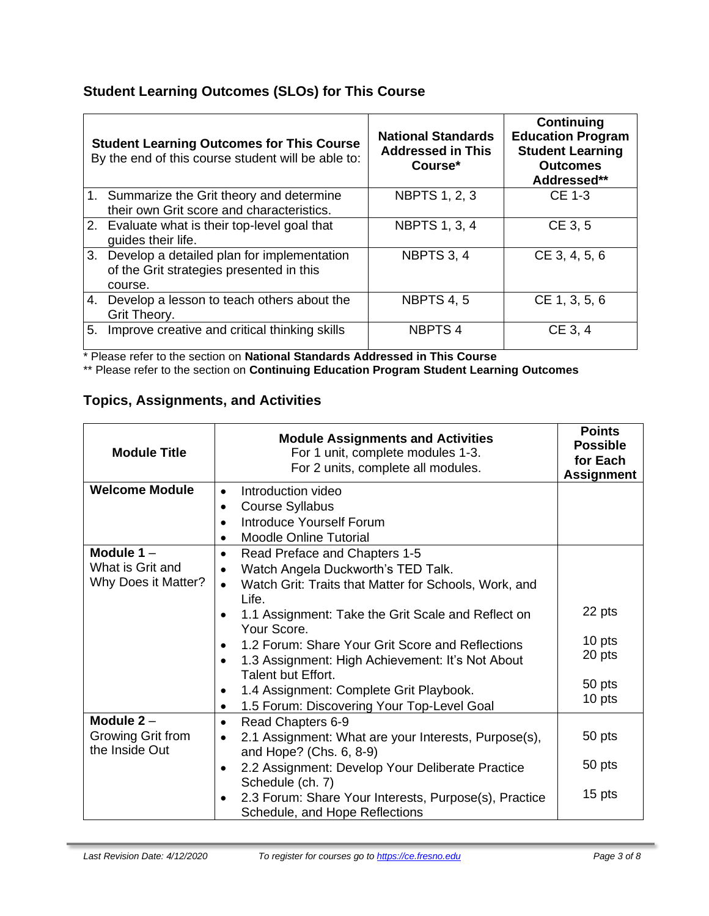## **Student Learning Outcomes (SLOs) for This Course**

|    | <b>Student Learning Outcomes for This Course</b><br>By the end of this course student will be able to: | <b>National Standards</b><br><b>Addressed in This</b><br>Course* | <b>Continuing</b><br><b>Education Program</b><br><b>Student Learning</b><br><b>Outcomes</b><br>Addressed** |
|----|--------------------------------------------------------------------------------------------------------|------------------------------------------------------------------|------------------------------------------------------------------------------------------------------------|
|    | 1. Summarize the Grit theory and determine<br>their own Grit score and characteristics.                | <b>NBPTS 1, 2, 3</b>                                             | <b>CE 1-3</b>                                                                                              |
|    | 2. Evaluate what is their top-level goal that<br>guides their life.                                    | <b>NBPTS 1, 3, 4</b>                                             | CE 3, 5                                                                                                    |
|    | 3. Develop a detailed plan for implementation<br>of the Grit strategies presented in this<br>course.   | NBPTS 3, 4                                                       | CE 3, 4, 5, 6                                                                                              |
|    | 4. Develop a lesson to teach others about the<br>Grit Theory.                                          | <b>NBPTS 4, 5</b>                                                | CE 1, 3, 5, 6                                                                                              |
| 5. | Improve creative and critical thinking skills                                                          | <b>NBPTS4</b>                                                    | CE 3, 4                                                                                                    |

\* Please refer to the section on **National Standards Addressed in This Course**

\*\* Please refer to the section on **Continuing Education Program Student Learning Outcomes**

## **Topics, Assignments, and Activities**

| <b>Module Title</b>                 | <b>Module Assignments and Activities</b><br>For 1 unit, complete modules 1-3.<br>For 2 units, complete all modules. | <b>Points</b><br><b>Possible</b><br>for Each<br><b>Assignment</b> |
|-------------------------------------|---------------------------------------------------------------------------------------------------------------------|-------------------------------------------------------------------|
| <b>Welcome Module</b>               | Introduction video<br>$\bullet$                                                                                     |                                                                   |
|                                     | <b>Course Syllabus</b>                                                                                              |                                                                   |
|                                     | Introduce Yourself Forum<br>$\bullet$                                                                               |                                                                   |
|                                     | <b>Moodle Online Tutorial</b>                                                                                       |                                                                   |
| Module $1 -$                        | Read Preface and Chapters 1-5<br>٠                                                                                  |                                                                   |
| What is Grit and                    | Watch Angela Duckworth's TED Talk.                                                                                  |                                                                   |
| Why Does it Matter?                 | Watch Grit: Traits that Matter for Schools, Work, and<br>$\bullet$                                                  |                                                                   |
|                                     | Life.<br>1.1 Assignment: Take the Grit Scale and Reflect on<br>Your Score.                                          | 22 pts                                                            |
|                                     | 1.2 Forum: Share Your Grit Score and Reflections                                                                    | 10 pts                                                            |
|                                     | 1.3 Assignment: High Achievement: It's Not About<br>Talent but Effort.                                              | 20 pts                                                            |
|                                     | 1.4 Assignment: Complete Grit Playbook.<br>$\bullet$                                                                | 50 pts                                                            |
|                                     | 1.5 Forum: Discovering Your Top-Level Goal<br>٠                                                                     | 10 pts                                                            |
| Module $2 -$                        | Read Chapters 6-9<br>$\bullet$                                                                                      |                                                                   |
| Growing Grit from<br>the Inside Out | 2.1 Assignment: What are your Interests, Purpose(s),<br>and Hope? (Chs. 6, 8-9)                                     | 50 pts                                                            |
|                                     | 2.2 Assignment: Develop Your Deliberate Practice<br>$\bullet$<br>Schedule (ch. 7)                                   | 50 pts                                                            |
|                                     | 2.3 Forum: Share Your Interests, Purpose(s), Practice<br>Schedule, and Hope Reflections                             | 15 pts                                                            |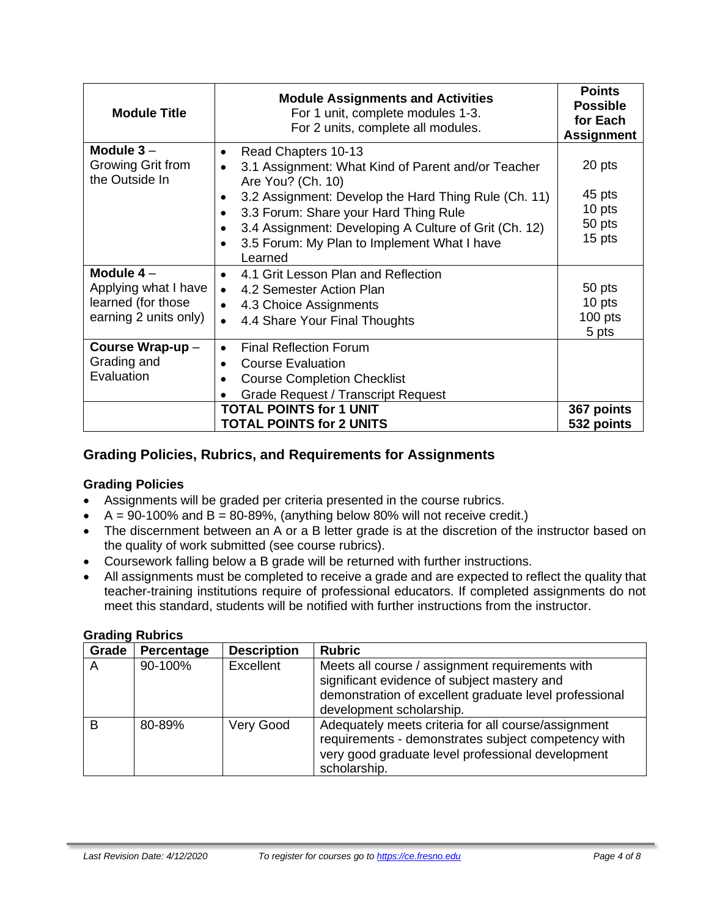| <b>Module Title</b>                                                                | <b>Module Assignments and Activities</b><br>For 1 unit, complete modules 1-3.<br>For 2 units, complete all modules.                                                                                                                                                                                                             | <b>Points</b><br><b>Possible</b><br>for Each<br><b>Assignment</b> |
|------------------------------------------------------------------------------------|---------------------------------------------------------------------------------------------------------------------------------------------------------------------------------------------------------------------------------------------------------------------------------------------------------------------------------|-------------------------------------------------------------------|
| Module $3 -$<br>Growing Grit from<br>the Outside In                                | Read Chapters 10-13<br>$\bullet$<br>3.1 Assignment: What Kind of Parent and/or Teacher<br>Are You? (Ch. 10)<br>3.2 Assignment: Develop the Hard Thing Rule (Ch. 11)<br>3.3 Forum: Share your Hard Thing Rule<br>3.4 Assignment: Developing A Culture of Grit (Ch. 12)<br>3.5 Forum: My Plan to Implement What I have<br>Learned | 20 pts<br>45 pts<br>10 pts<br>50 pts<br>15 pts                    |
| Module $4-$<br>Applying what I have<br>learned (for those<br>earning 2 units only) | 4.1 Grit Lesson Plan and Reflection<br>$\bullet$<br>4.2 Semester Action Plan<br>$\bullet$<br>4.3 Choice Assignments<br>$\bullet$<br>4.4 Share Your Final Thoughts                                                                                                                                                               | 50 pts<br>10 pts<br>$100$ pts<br>5 pts                            |
| Course Wrap-up-<br>Grading and<br>Evaluation                                       | <b>Final Reflection Forum</b><br>$\bullet$<br><b>Course Evaluation</b><br><b>Course Completion Checklist</b><br><b>Grade Request / Transcript Request</b><br><b>TOTAL POINTS for 1 UNIT</b><br><b>TOTAL POINTS for 2 UNITS</b>                                                                                                  | 367 points<br>532 points                                          |

## **Grading Policies, Rubrics, and Requirements for Assignments**

#### **Grading Policies**

- Assignments will be graded per criteria presented in the course rubrics.
- $A = 90-100\%$  and  $B = 80-89\%$ , (anything below 80% will not receive credit.)
- The discernment between an A or a B letter grade is at the discretion of the instructor based on the quality of work submitted (see course rubrics).
- Coursework falling below a B grade will be returned with further instructions.
- All assignments must be completed to receive a grade and are expected to reflect the quality that teacher-training institutions require of professional educators. If completed assignments do not meet this standard, students will be notified with further instructions from the instructor.

| Grade | Percentage | <b>Description</b> | <b>Rubric</b>                                                                                                                                                                        |
|-------|------------|--------------------|--------------------------------------------------------------------------------------------------------------------------------------------------------------------------------------|
| A     | 90-100%    | Excellent          | Meets all course / assignment requirements with<br>significant evidence of subject mastery and<br>demonstration of excellent graduate level professional<br>development scholarship. |
| B     | 80-89%     | Very Good          | Adequately meets criteria for all course/assignment<br>requirements - demonstrates subject competency with<br>very good graduate level professional development<br>scholarship.      |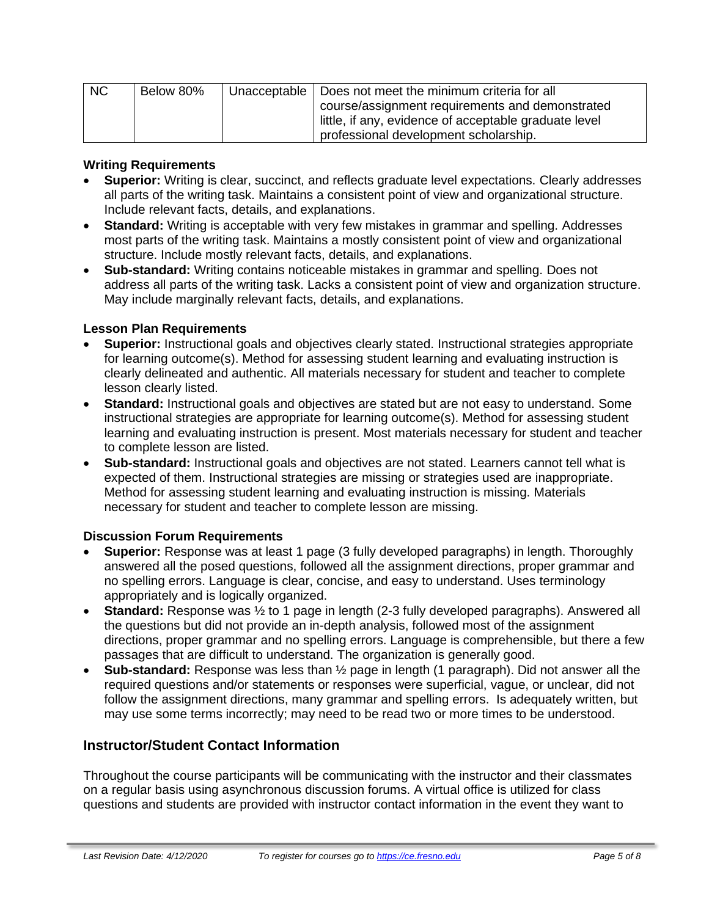| <b>NC</b> | Below 80% | Unacceptable   Does not meet the minimum criteria for all |
|-----------|-----------|-----------------------------------------------------------|
|           |           | course/assignment requirements and demonstrated           |
|           |           | little, if any, evidence of acceptable graduate level     |
|           |           | professional development scholarship.                     |

#### **Writing Requirements**

- **Superior:** Writing is clear, succinct, and reflects graduate level expectations. Clearly addresses all parts of the writing task. Maintains a consistent point of view and organizational structure. Include relevant facts, details, and explanations.
- **Standard:** Writing is acceptable with very few mistakes in grammar and spelling. Addresses most parts of the writing task. Maintains a mostly consistent point of view and organizational structure. Include mostly relevant facts, details, and explanations.
- **Sub-standard:** Writing contains noticeable mistakes in grammar and spelling. Does not address all parts of the writing task. Lacks a consistent point of view and organization structure. May include marginally relevant facts, details, and explanations.

#### **Lesson Plan Requirements**

- **Superior:** Instructional goals and objectives clearly stated. Instructional strategies appropriate for learning outcome(s). Method for assessing student learning and evaluating instruction is clearly delineated and authentic. All materials necessary for student and teacher to complete lesson clearly listed.
- **Standard:** Instructional goals and objectives are stated but are not easy to understand. Some instructional strategies are appropriate for learning outcome(s). Method for assessing student learning and evaluating instruction is present. Most materials necessary for student and teacher to complete lesson are listed.
- **Sub-standard:** Instructional goals and objectives are not stated. Learners cannot tell what is expected of them. Instructional strategies are missing or strategies used are inappropriate. Method for assessing student learning and evaluating instruction is missing. Materials necessary for student and teacher to complete lesson are missing.

#### **Discussion Forum Requirements**

- **Superior:** Response was at least 1 page (3 fully developed paragraphs) in length. Thoroughly answered all the posed questions, followed all the assignment directions, proper grammar and no spelling errors. Language is clear, concise, and easy to understand. Uses terminology appropriately and is logically organized.
- **Standard:** Response was  $\frac{1}{2}$  to 1 page in length (2-3 fully developed paragraphs). Answered all the questions but did not provide an in-depth analysis, followed most of the assignment directions, proper grammar and no spelling errors. Language is comprehensible, but there a few passages that are difficult to understand. The organization is generally good.
- **Sub-standard:** Response was less than ½ page in length (1 paragraph). Did not answer all the required questions and/or statements or responses were superficial, vague, or unclear, did not follow the assignment directions, many grammar and spelling errors. Is adequately written, but may use some terms incorrectly; may need to be read two or more times to be understood.

#### **Instructor/Student Contact Information**

Throughout the course participants will be communicating with the instructor and their classmates on a regular basis using asynchronous discussion forums. A virtual office is utilized for class questions and students are provided with instructor contact information in the event they want to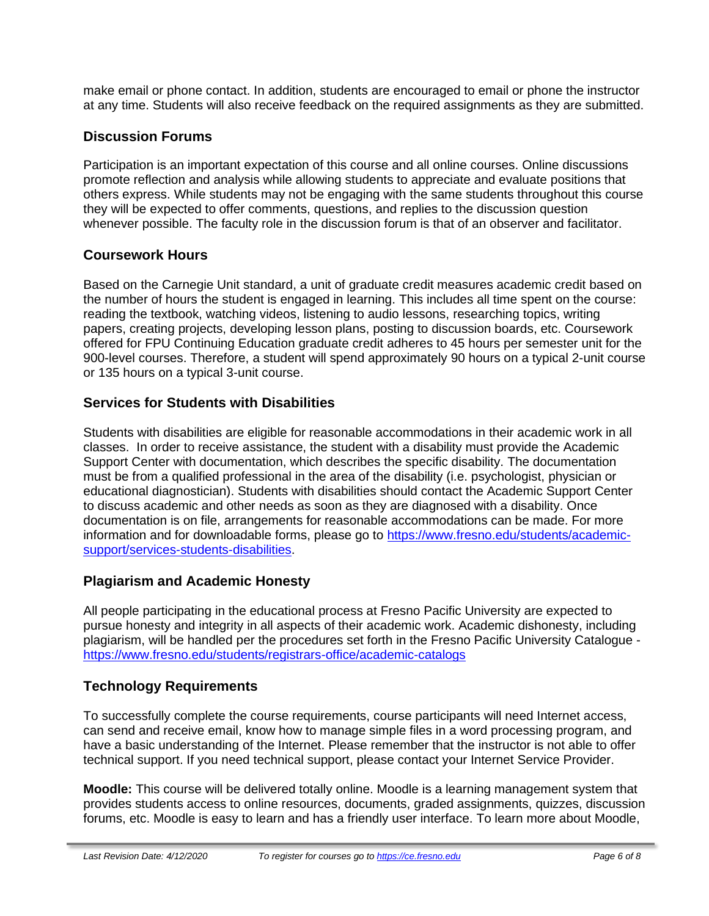make email or phone contact. In addition, students are encouraged to email or phone the instructor at any time. Students will also receive feedback on the required assignments as they are submitted.

## **Discussion Forums**

Participation is an important expectation of this course and all online courses. Online discussions promote reflection and analysis while allowing students to appreciate and evaluate positions that others express. While students may not be engaging with the same students throughout this course they will be expected to offer comments, questions, and replies to the discussion question whenever possible. The faculty role in the discussion forum is that of an observer and facilitator.

## **Coursework Hours**

Based on the Carnegie Unit standard, a unit of graduate credit measures academic credit based on the number of hours the student is engaged in learning. This includes all time spent on the course: reading the textbook, watching videos, listening to audio lessons, researching topics, writing papers, creating projects, developing lesson plans, posting to discussion boards, etc. Coursework offered for FPU Continuing Education graduate credit adheres to 45 hours per semester unit for the 900-level courses. Therefore, a student will spend approximately 90 hours on a typical 2-unit course or 135 hours on a typical 3-unit course.

## **Services for Students with Disabilities**

Students with disabilities are eligible for reasonable accommodations in their academic work in all classes. In order to receive assistance, the student with a disability must provide the Academic Support Center with documentation, which describes the specific disability. The documentation must be from a qualified professional in the area of the disability (i.e. psychologist, physician or educational diagnostician). Students with disabilities should contact the Academic Support Center to discuss academic and other needs as soon as they are diagnosed with a disability. Once documentation is on file, arrangements for reasonable accommodations can be made. For more information and for downloadable forms, please go to [https://www.fresno.edu/students/academic](https://www.fresno.edu/students/academic-support/services-students-disabilities)[support/services-students-disabilities.](https://www.fresno.edu/students/academic-support/services-students-disabilities)

## **Plagiarism and Academic Honesty**

All people participating in the educational process at Fresno Pacific University are expected to pursue honesty and integrity in all aspects of their academic work. Academic dishonesty, including plagiarism, will be handled per the procedures set forth in the Fresno Pacific University Catalogue <https://www.fresno.edu/students/registrars-office/academic-catalogs>

## **Technology Requirements**

To successfully complete the course requirements, course participants will need Internet access, can send and receive email, know how to manage simple files in a word processing program, and have a basic understanding of the Internet. Please remember that the instructor is not able to offer technical support. If you need technical support, please contact your Internet Service Provider.

**Moodle:** This course will be delivered totally online. Moodle is a learning management system that provides students access to online resources, documents, graded assignments, quizzes, discussion forums, etc. Moodle is easy to learn and has a friendly user interface. To learn more about Moodle,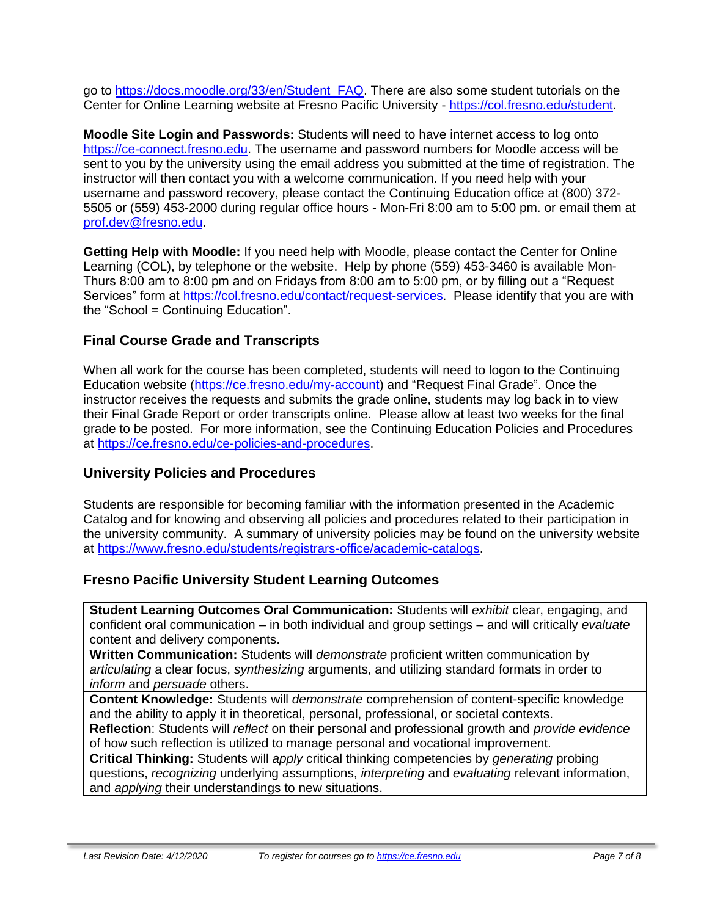go to [https://docs.moodle.org/33/en/Student\\_FAQ.](https://docs.moodle.org/33/en/Student_FAQ) There are also some student tutorials on the Center for Online Learning website at Fresno Pacific University - [https://col.fresno.edu/student.](https://col.fresno.edu/student)

**Moodle Site Login and Passwords:** Students will need to have internet access to log onto [https://ce-connect.fresno.edu.](https://ce-connect.fresno.edu/) The username and password numbers for Moodle access will be sent to you by the university using the email address you submitted at the time of registration. The instructor will then contact you with a welcome communication. If you need help with your username and password recovery, please contact the Continuing Education office at (800) 372- 5505 or (559) 453-2000 during regular office hours - Mon-Fri 8:00 am to 5:00 pm. or email them at [prof.dev@fresno.edu.](mailto:prof.dev@fresno.edu)

**Getting Help with Moodle:** If you need help with Moodle, please contact the Center for Online Learning (COL), by telephone or the website. Help by phone (559) 453-3460 is available Mon-Thurs 8:00 am to 8:00 pm and on Fridays from 8:00 am to 5:00 pm, or by filling out a "Request Services" form at [https://col.fresno.edu/contact/request-services.](https://col.fresno.edu/contact/request-services) Please identify that you are with the "School = Continuing Education".

## **Final Course Grade and Transcripts**

When all work for the course has been completed, students will need to logon to the Continuing Education website [\(https://ce.fresno.edu/my-account\)](https://ce.fresno.edu/my-account) and "Request Final Grade". Once the instructor receives the requests and submits the grade online, students may log back in to view their Final Grade Report or order transcripts online. Please allow at least two weeks for the final grade to be posted. For more information, see the Continuing Education Policies and Procedures at [https://ce.fresno.edu/ce-policies-and-procedures.](https://ce.fresno.edu/ce-policies-and-procedures)

## **University Policies and Procedures**

Students are responsible for becoming familiar with the information presented in the Academic Catalog and for knowing and observing all policies and procedures related to their participation in the university community. A summary of university policies may be found on the university website at [https://www.fresno.edu/students/registrars-office/academic-catalogs.](https://www.fresno.edu/students/registrars-office/academic-catalogs)

## **Fresno Pacific University Student Learning Outcomes**

**Student Learning Outcomes Oral Communication:** Students will *exhibit* clear, engaging, and confident oral communication – in both individual and group settings – and will critically *evaluate*  content and delivery components.

**Written Communication:** Students will *demonstrate* proficient written communication by *articulating* a clear focus, *synthesizing* arguments, and utilizing standard formats in order to *inform* and *persuade* others.

**Content Knowledge:** Students will *demonstrate* comprehension of content-specific knowledge and the ability to apply it in theoretical, personal, professional, or societal contexts.

**Reflection**: Students will *reflect* on their personal and professional growth and *provide evidence*  of how such reflection is utilized to manage personal and vocational improvement.

**Critical Thinking:** Students will *apply* critical thinking competencies by *generating* probing questions, *recognizing* underlying assumptions, *interpreting* and *evaluating* relevant information, and *applying* their understandings to new situations.